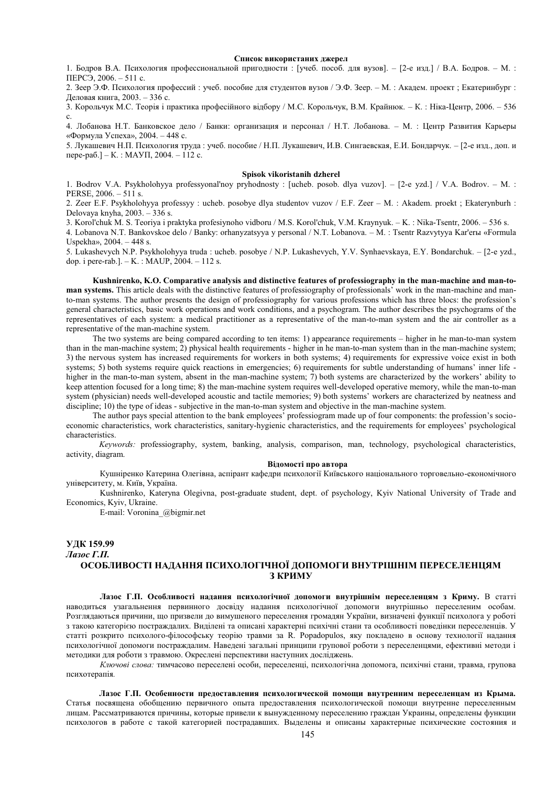#### Список використаних джерел

1. Бодров В.А. Психология профессиональной пригодности : [учеб. пособ. для вузов]. - [2-е изд.] / В.А. Бодров. - М. :  $\Pi$ EPC $\Theta$ , 2006. - 511 c.

2. Зеер Э.Ф. Психология профессий : учеб. пособие для студентов вузов / Э.Ф. Зеер. - М. : Академ. проект ; Екатеринбург : Деловая книга, 2003. - 336 с.

3. Корольчук М.С. Теорія і практика професійного відбору / М.С. Корольчук, В.М. Крайнюк. – К.: Ніка-Центр, 2006. – 536 c.

4. Лобанова Н.Т. Банковское лело / Банки: организация и персонал / Н.Т. Лобанова. – М. : Центр Развития Карьеры «Формула Успеха», 2004. - 448 с.

5. Лукашевич Н.П. Психология труда: учеб. пособие / Н.П. Лукашевич, И.В. Сингаевская, Е.И. Бондарчук. - [2-е изд., доп. и пере-раб.] – К.: МАУП, 2004. – 112 с.

#### **Spisok vikoristanih dzherel**

1. Bodrov V.A. Psykholohyya professyonal'noy pryhodnosty : [ucheb. posob. dlya vuzov]. – [2-e yzd.] / V.A. Bodrov. – M. : PERSE,  $2006. - 511$  s.

2. Zeer E.F. Psykholohyya professyy : ucheb. posobye dlya studentov vuzov / E.F. Zeer – M. : Akadem. proekt ; Ekaterynburh : Delovaya knyha,  $2003 - 336$  s.

3. Korol'chuk M. S. Teoriya i praktyka profesiynoho vidboru / M.S. Korol'chuk, V.M. Kraynyuk. – K. : Nika-Tsentr, 2006. – 536 s.

4. Lobanova N.T. Bankovskoe delo / Banky: orhanyzatsyya y personal / N.T. Lobanova. - M. : Tsentr Razvytyya Kar'erы «Formula Uspekha»,  $2004. - 448$  s.

5. Lukashevych N.P. Psykholohyya truda : ucheb. posobye / N.P. Lukashevych, Y.V. Synhaevskaya, E.Y. Bondarchuk. - [2-e yzd., dop. i pere-rab.].  $-$  K. : MAUP, 2004.  $-$  112 s.

**Kushnirenko, K.O. Comparative analysis and distinctive features of professiography in the man-machine and man-to**man systems. This article deals with the distinctive features of professiography of professionals' work in the man-machine and manto-man systems. The author presents the design of professiography for various professions which has three blocs: the profession's general characteristics, basic work operations and work conditions, and a psychogram. The author describes the psychograms of the representatives of each system: a medical practitioner as a representative of the man-to-man system and the air controller as a representative of the man-machine system.

The two systems are being compared according to ten items: 1) appearance requirements – higher in he man-to-man system than in the man-machine system; 2) physical health requirements - higher in he man-to-man system than in the man-machine system; 3) the nervous system has increased requirements for workers in both systems; 4) requirements for expressive voice exist in both systems; 5) both systems require quick reactions in emergencies; 6) requirements for subtle understanding of humans' inner life higher in the man-to-man system, absent in the man-machine system; 7) both systems are characterized by the workers' ability to keep attention focused for a long time; 8) the man-machine system requires well-developed operative memory, while the man-to-man system (physician) needs well-developed acoustic and tactile memories; 9) both systems' workers are characterized by neatness and discipline; 10) the type of ideas - subjective in the man-to-man system and objective in the man-machine system.

The author pays special attention to the bank employees' professiogram made up of four components: the profession's socioeconomic characteristics, work characteristics, sanitary-hygienic characteristics, and the requirements for employees' psychological characteristics.

*Keywords:* professiography, system, banking, analysis, comparison, man, technology, psychological characteristics, activity, diagram.

### **Відомості про автора**

Кушніренко Катерина Олегівна, аспірант кафедри психології Київського національного торговельно-економічного університету, м. Київ, Україна.

Kushnirenko, Kateryna Olegivna, post-graduate student, dept. of psychology, Kyiv National University of Trade and Economics, Kyiv, Ukraine.

E-mail: Voronina\_@bigmir.net

## **ɍȾɄ 159.99**  Лазос Г.П. ОСОБЛИВОСТІ НАДАННЯ ПСИХОЛОГІЧНОЇ ДОПОМОГИ ВНУТРІШНІМ ПЕРЕСЕЛЕНЦЯМ З КРИМУ

Лазос Г.П. Особливості надання психологічної допомоги внутрішнім переселенцям з Криму. В статті наводиться узагальнення первинного досвіду надання психологічної допомоги внутрішньо переселеним особам. Розглядаються причини, що призвели до вимушеного переселення громадян України, визначені функції психолога у роботі з такою категорією постраждалих. Виділені та описані характерні психічні стани та особливості поведінки переселенців. У статті розкрито психолого-філософську теорію травми за R. Popadopulos, яку покладено в основу технології надання психологічної допомоги постраждалим. Наведені загальні принципи групової роботи з переселенцями, ефективні методи і методики для роботи з травмою. Окреслені перспективи наступних досліджень.

Ключові слова: тимчасово переселені особи, переселенці, психологічна допомога, психічні стани, травма, групова психотерапія.

Лазос Г.П. Особенности предоставления психологической помощи внутренним переселенцам из Крыма. Статья посвящена обобщению первичного опыта предоставления психологической помощи внутренне переселенным лицам. Рассматриваются причины, которые привели к вынужденному переселению граждан Украины, определены функции психологов в работе с такой категорией пострадавших. Выделены и описаны характерные психические состояния и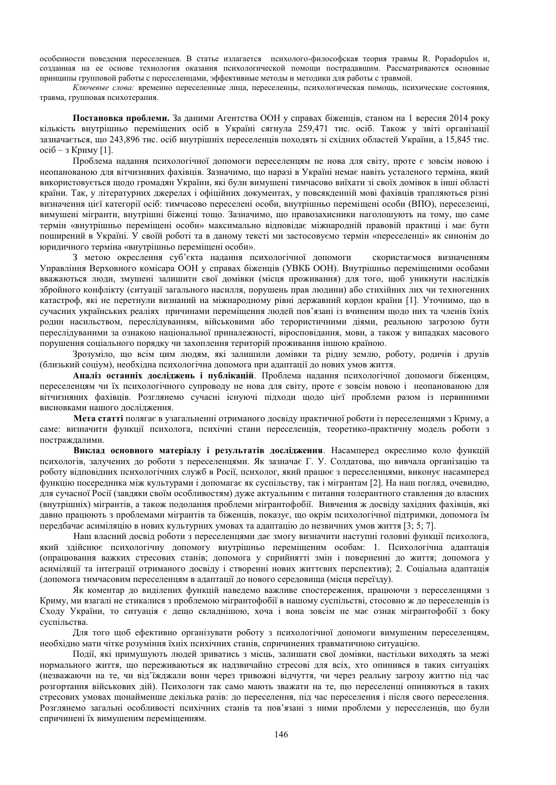особенности поведения переселенцев. В статье излагается психолого-философская теория травмы R. Popadopulos и, созланная на ее основе технология оказания психологической помоши постралавшим. Рассматриваются основные принципы групповой работы с переселенцами, эффективные методы и методики для работы с травмой.

Ключевые слова: временно переселенные лица, переселенцы, психологическая помощь, психические состояния, травма, групповая психотерапия.

Постановка проблеми. За даними Агентства ООН у справах біженців, станом на 1 вересня 2014 року кількість внутрішньо перемішених осіб в Україні сягнула 259.471 тис. осіб. Також у звіті організації зазначається, що 243,896 тис. осіб внутрішніх переселенців походять зі східних областей України, а 15,845 тис.  $oci6 - 3$  Криму [1].

Проблема надання психологічної допомоги переселенцям не нова для світу, проте є зовсім новою і неопанованою для вітчизняних фахівців. Зазначимо, що наразі в Україні немає навіть усталеного терміна, який використовується щодо громадян України, які були вимушені тимчасово виїхати зі своїх домівок в інші області країни. Так, у літературних джерелах і офіційних документах, у повсякденній мові фахівців трапляються різні визначення цієї категорії осіб: тимчасово переселені особи, внутрішньо переміщені особи (ВПО), переселенці, вимушені мігранти, внутрішні біженці тощо. Зазначимо, що правозахисники наголошують на тому, що саме термін «внутрішньо переміщені особи» максимально відповідає міжнародній правовій практиці і має бути поширений в Україні. У своїй роботі та в даному тексті ми застосовуємо термін «переселенці» як синонім до юридичного терміна «внутрішньо переміщені особи».

3 метою окреслення суб'єкта надання психологічної допомоги скористаємося визначенням Управління Верховного комісара ООН у справах біженців (УВКБ ООН). Внутрішньо переміщеними особами вважаються люди, змушені залишити свої домівки (місця проживання) для того, щоб уникнути наслідків збройного конфлікту (ситуації загального насилля, порушень прав людини) або стихійних лих чи техногенних катастроф, які не перетнули визнаний на міжнародному рівні державний кордон країни [1]. Уточнимо, що в сучасних українських реаліях причинами переміщення людей пов'язані із вчиненим щодо них та членів їхніх родин насильством, переслідуванням, військовими або терористичними діями, реальною загрозою бути переслідуваними за ознакою національної приналежності, віросповідання, мови, а також у випадках масового порушення соціального порялку чи захоплення територій проживання іншою країною.

Зрозуміло, що всім цим людям, які залишили домівки та рідну землю, роботу, родичів і друзів (близький соціум), необхідна психологічна допомога при адаптації до нових умов життя.

Аналіз останніх досліджень і публікацій. Проблема надання психологічної допомоги біженцям, переселенцям чи їх психологічного супроводу не нова для світу, проте є зовсім новою і неопанованою для вітчизняних фахівців. Розглянемо сучасні існуючі підходи щодо цієї проблеми разом із первинними висновками нашого дослідження.

Мета статті полягає в узагальненні отриманого досвіду практичної роботи із переселенцями з Криму, а саме: визначити функції психолога, психічні стани переселенців, теоретико-практичну модель роботи з постраждалими.

Виклад основного матеріалу і результатів дослідження. Насамперед окреслимо коло функцій психологів, залучених до роботи з переселенцями. Як зазначає Г. У. Солдатова, що вивчала організацію та роботу відповідних психологічних служб в Росії, психолог, який працює з переселенцями, виконує насамперед функцію посередника між культурами і допомагає як суспільству, так і мігрантам [2]. На наш погляд, очевидно, для сучасної Росії (завдяки своїм особливостям) дуже актуальним є питання толерантного ставлення до власних (внутрішніх) мігрантів, а також подолання проблеми мігрантофобії. Вивчення ж досвіду західних фахівців, які давно працюють з проблемами мігрантів та біженців, показує, що окрім психологічної підтримки, допомога їм передбачає асиміляцію в нових культурних умовах та адаптацію до незвичних умов життя [3; 5; 7].

Наш власний досвід роботи з переселенцями дає змогу визначити наступні головні функції психолога, який злійснює психологічну лопомогу внутрішньо перемішеним особам: 1. Психологічна алаптація (опрацювання важких стресових станів; допомога у сприйнятті змін і поверненні до життя; допомога у асиміляції та інтеграції отриманого досвіду і створенні нових життєвих перспектив); 2. Соціальна адаптація (допомога тимчасовим переселенцям в адаптації до нового середовища (місця переїзду).

Як коментар до виділених функцій наведемо важливе спостереження, працюючи з переселенцями з Криму, ми взагалі не стикалися з проблемою мігрантофобії в нашому суспільстві, стосовно ж до переселенців із Сходу України, то ситуація є дещо складнішою, хоча і вона зовсім не має ознак мігрантофобії з боку суспільства.

Для того щоб ефективно організувати роботу з психологічної допомоги вимушеним переселенцям, необхідно мати чітке розуміння їхніх психічних станів, спричинених травматичною ситуацією.

Події, які примушують людей зриватись з місць, залишати свої домівки, настільки виходять за межі нормального життя, що переживаються як надзвичайно стресові для всіх, хто опинився в таких ситуаціях (незважаючи на те, чи від їжджали вони через тривожні відчуття, чи через реальну загрозу життю під час розгортання військових дій). Психологи так само мають зважати на те, що переселенці опиняються в таких стресових умовах щонайменше декілька разів: до переселення, під час переселення і після свого переселення. Розглянемо загальні особливості психічних станів та пов'язані з ними проблеми у переселенців, що були спричинені їх вимушеним переміщенням.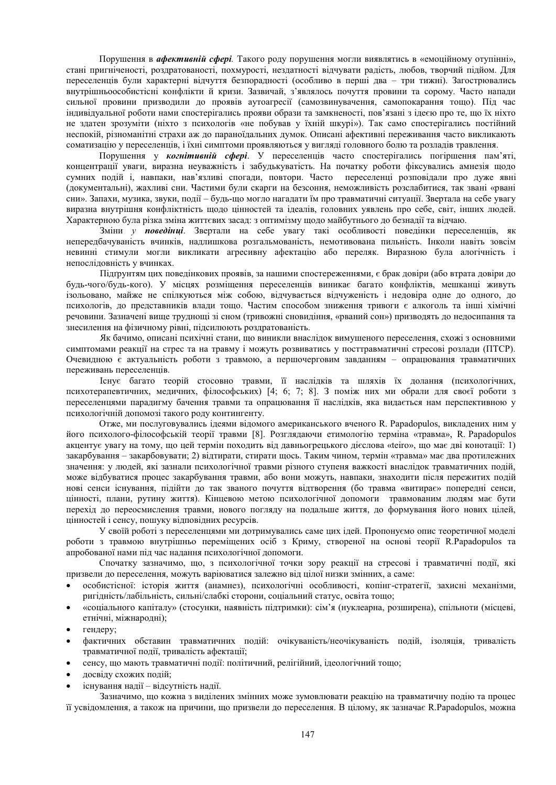Порушення в *афективній сфері*. Такого роду порушення могли виявлятись в «емоційному отупінні», стані пригніченості, роздратованості, похмурості, нездатності відчувати радість, любов, творчий підйом. Для переселенців були характерні відчуття безпорадності (особливо в перші два – три тижні). Загострювались внутрішньоособистісні конфлікти й кризи. Зазвичай, з'являлось почуття провини та сорому. Часто напади сильної провини призволили ло проявів аутоагресії (самозвинувачення, самопокарання тошо). Піл час індивідуальної роботи нами спостерігались прояви образи та замкненості, пов'язані з ідеєю про те, що їх ніхто не здатен зрозуміти (ніхто з психологів «не побував у їхній шкурі»). Так само спостерігались постійний неспокій, різноманітні страхи аж до параноїдальних думок. Описані афективні переживання часто викликають соматизацію у переселенців, і їхні симптоми проявляються у вигляді головного болю та розладів травлення.

Порушення у когнітивній сфері. У переселенців часто спостерігались погіршення пам'яті, концентрації уваги, виразна неуважність і забудькуватість. На початку роботи фіксувались амнезія щодо сумних подій і, навпаки, нав'язливі спогади, повтори. Часто переселенці розповідали про дуже явні (документальні), жахливі сни. Частими були скарги на безсоння, неможливість розслабитися, так звані «рвані сни». Запахи, музика, звуки, події – будь-що могло нагадати їм про травматичні ситуації. Звертала на себе увагу виразна внутрішня конфліктність щодо цінностей та ідеалів, головних уявлень про себе, світ, інших людей. Характерною була різка зміна життєвих засад: з оптимізму щодо майбутнього до безнадії та відчаю.

Зміни у поведінці. Звертали на себе увагу такі особливості поведінки переселенців, як непередбачуваність вчинків, надлишкова розгальмованість, немотивована пильність. Інколи навіть зовсім невинні стимули могли викликати агресивну афектацію або переляк. Виразною була алогічність і непосліловність у вчинках.

Підґрунтям цих поведінкових проявів, за нашими спостереженнями, є брак довіри (або втрата довіри до будь-чого/будь-кого). У місцях розміщення переселенців виникає багато конфліктів, мешканці живуть ізольовано, майже не спілкуються між собою, відчувається відчуженість і недовіра одне до одного, до психологів, до представників влади тощо. Частим способом зниження тривоги є алкоголь та інші хімічні речовини. Зазначені вище труднощі зі сном (тривожні сновидіння, «рваний сон») призводять до недосипання та знесилення на фізичному рівні, пілсилюють роздратованість.

Як бачимо, описані психічні стани, що виникли внаслідок вимушеного переселення, схожі з основними симптомами реакції на стрес та на травму і можуть розвиватись у посттравматичні стресові розлади (ПТСР). Очевидною є актуальність роботи з травмою, а першочерговим завданням - опрацювання травматичних переживань переселенців.

Існує багато теорій стосовно травми, її наслідків та шляхів їх долання (психологічних, психотерапевтичних, медичних, філософських) [4; 6; 7; 8]. З поміж них ми обрали для своєї роботи з переселенцями парадигму бачення травми та опрацювання її наслідків, яка видається нам перспективною у психологічній допомозі такого роду контингенту.

Отже, ми послуговувались ідеями відомого американського вченого R. Papadopulos, викладених ним у його психолого-філософській теорії травми [8]. Розглядаючи етимологію терміна «травма», R. Papadopulos акцентує увагу на тому, що цей термін походить від давньогрецького дієслова «teiro», що має дві конотації: 1) закарбування – закарбовувати; 2) відтирати, стирати щось. Таким чином, термін «травма» має два протилежних значення: у людей, які зазнали психологічної травми різного ступеня важкості внаслідок травматичних подій, може відбуватися процес закарбування травми, або вони можуть, навпаки, знаходити після пережитих подій нові сенси існування, підійти до так званого почуття відтворення (бо травма «витирає» попередні сенси, цінності, плани, рутину життя). Кінцевою метою психологічної допомоги травмованим людям має бути перехід до переосмислення травми, нового погляду на подальше життя, до формування його нових цілей, цінностей і сенсу, пошуку відповідних ресурсів.

У своїй роботі з переселенцями ми дотримувались саме цих ідей. Пропонуємо опис теоретичної моделі роботи з травмою внутрішньо переміщених осіб з Криму, створеної на основі теорії R.Papadopulos та апробованої нами під час надання психологічної допомоги.

Спочатку зазначимо, що, з психологічної точки зору реакції на стресові і травматичні події, які призвели до переселення, можуть варіюватися залежно від цілої низки змінних, а саме:

- особистісної: історія життя (анамнез), психологічні особливості, копінг-стратегії, захисні механізми, ригідність/лабільність, сильні/слабкі сторони, соціальний статус, освіта тощо;
- «соціального капіталу» (стосунки, наявність підтримки): сім'я (нуклеарна, розширена), спільноти (місцеві, етнічні, міжнародні);
- гендеру;
- фактичних обставин травматичних подій: очікуваність/неочікуваність подій, ізоляція, тривалість травматичної події, тривалість афектації;
- сенсу, що мають травматичні події: політичний, релігійний, ідеологічний тощо;
- досвіду схожих подій;
- існування налії вілсутність налії.

Зазначимо, що кожна з виділених змінних може зумовлювати реакцію на травматичну подію та процес її усвідомлення, а також на причини, що призвели до переселення. В цілому, як зазначає R.Papadopulos, можна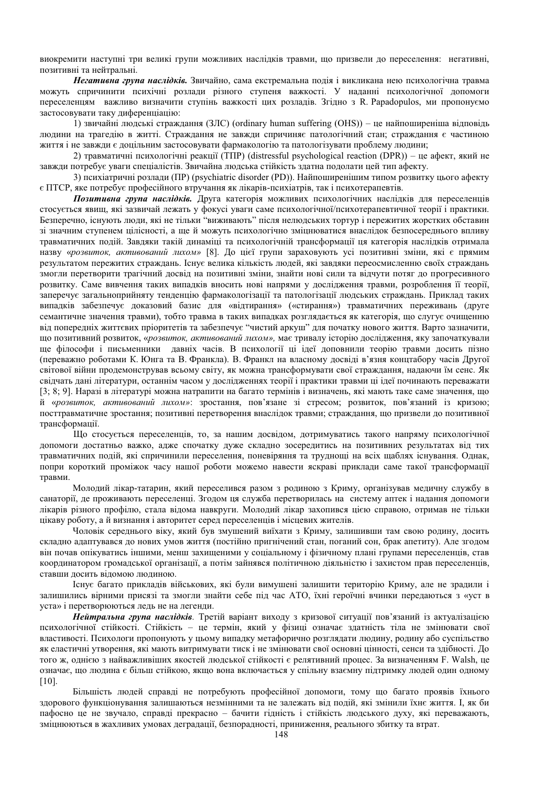виокремити наступні три великі групи можливих наслідків травми, що призвели до переселення: негативні, позитивні та нейтральні.

Негативна група наслідків. Звичайно, сама екстремальна подія і викликана нею психологічна травма можуть спричинити психічні розлади різного ступеня важкості. У наданні психологічної допомоги переселениям важливо визначити ступінь важкості них розлалів. Згілно з R. Papadopulos, ми пропонуємо застосовувати таку диференціацію:

1) звичайні людські страждання (ЗЛС) (ordinary human suffering (ОНS)) – це найпоширеніша відповідь людини на трагедію в житті. Страждання не завжди спричиняє патологічний стан; страждання є частиною життя і не завжди є доцільним застосовувати фармакологію та патологізувати проблему людини;

2) травматичні психологічні реакції (ТПР) (distressful psychological reaction (DPR)) – це афект, який не завжди потребує уваги спеціалістів. Звичайна людська стійкість здатна подолати цей тип афекту.

3) психіатричні розлади (ПР) (psychiatric disorder (PD)). Найпоширенішим типом розвитку цього афекту є ПТСР, яке потребує професійного втручання як лікарів-психіатрів, так і психотерапевтів.

Позитивна група наслідків. Друга категорія можливих психологічних наслідків для переселенців стосується явищ, які зазвичай лежать у фокусі уваги саме психологічної/психотерапевтичної теорії і практики. Безперечно, існують люди, які не тільки "виживають" після нелюдських тортур і пережитих жорстких обставин зі значним ступенем цілісності, а ще й можуть психологічно зміцнюватися внаслідок безпосереднього впливу травматичних подій. Завдяки такій динаміці та психологічній трансформації ця категорія наслідків отримала назву «розвиток, активований лихом» [8]. До цієї групи зараховують усі позитивні зміни, які є прямим результатом пережитих страждань. Існує велика кількість людей, які завдяки переосмисленню своїх страждань змогли перетворити трагічний досвід на позитивні зміни, знайти нові сили та відчути потяг до прогресивного розвитку. Саме вивчення таких випадків вносить нові напрями у дослідження травми, розроблення її теорії, заперечує загальноприйняту тенденцію фармакологізації та патологізації людських страждань. Приклад таких випадків забезпечує доказовий базис для «відтирання» («стирання») травматичних переживань (друге семантичне значення травми), тобто травма в таких випадках розглядається як категорія, що слугує очищенню віл поперелніх життєвих пріоритетів та забезпечує "чистий аркуш" для початку нового життя. Варто зазначити, що позитивний розвиток, «*розвиток, активований лихом»*, має тривалу історію дослідження, яку започаткували ще філософи і письменники давніх часів. В психології ці ідеї доповнили теорію травми досить пізно (переважно роботами К. Юнга та В. Франкла). В. Франкл на власному досвіді в'язня концтабору часів Другої світової війни продемонстрував всьому світу, як можна трансформувати свої страждання, надаючи їм сенс. Як свідчать дані літератури, останнім часом у дослідженнях теорії і практики травми ці ідеї починають переважати  $[3; 8; 9]$ . Наразі в літературі можна натрапити на багато термінів і визначень, які мають таке саме значення, що и «розвиток, активований лихом»: зростання, пов'язане зі стресом; розвиток, пов'язаний із кризою; посттравматичне зростання; позитивні перетворення внаслідок травми; страждання, що призвели до позитивної трансформації.

Шо стосується переселенців, то, за нашим досвідом, дотримуватись такого напряму психологічної допомоги достатньо важко, адже спочатку дуже складно зосередитись на позитивних результатах від тих травматичних полій, які спричинили переселення, поневіряння та трулноші на всіх шаблях існування. Олнак, попри короткий проміжок часу нашої роботи можемо навести яскраві приклади саме такої трансформації травми.

Молодий лікар-татарин, який переселився разом з родиною з Криму, організував медичну службу в санаторії, де проживають переселенці. Згодом ця служба перетворилась на систему аптек і надання допомоги лікарів різного профілю, стала відома навкруги. Молодий лікар захопився цією справою, отримав не тільки цікаву роботу, а й визнання і авторитет серед переселенців і місцевих жителів.

Чоловік середнього віку, який був змушений виїхати з Криму, залишивши там свою родину, досить складно адаптувався до нових умов життя (постійно пригнічений стан, поганий сон, брак апетиту). Але згодом він почав опікуватись іншими, менш захищеними у соціальному і фізичному плані групами переселенців, став координатором громадської організації, а потім зайнявся політичною діяльністю і захистом прав переселенців, ставши досить відомою людиною.

Генує багато прикладів військових, які були вимушені залишити територію Криму, але не зрадили і залишились вірними присязі та змогли знайти себе під час АТО, їхні героїчні вчинки передаються з «уст в уста» і перетворюються ледь не на легенди.

Нейтральна група наслідків. Третій варіант виходу з кризової ситуації пов'язаний із актуалізацією психологічної стійкості. Стійкість - це термін, який у фізиці означає здатність тіла не змінювати свої властивості. Психологи пропонують у пьому випалку метафорично розглялати люлину, родину або суспільство як еластичні утворення, які мають витримувати тиск і не змінювати свої основні пінності, сенси та злібності. Ло того ж, однією з найважливіших якостей людської стійкості є релятивний процес. За визначенням F. Walsh, це означає, що людина є більш стійкою, якщо вона включається у спільну взаємну підтримку людей один одному [10].

Більшість людей справді не потребують професійної допомоги, тому що багато проявів їхнього здорового функціонування залишаються незмінними та не залежать від подій, які змінили їхнє життя. І, як би пафосно це не звучало, справді прекрасно - бачити гідність і стійкість людського духу, які переважають, зміцнюються в жахливих умовах деградації, безпорадності, приниження, реального збитку та втрат.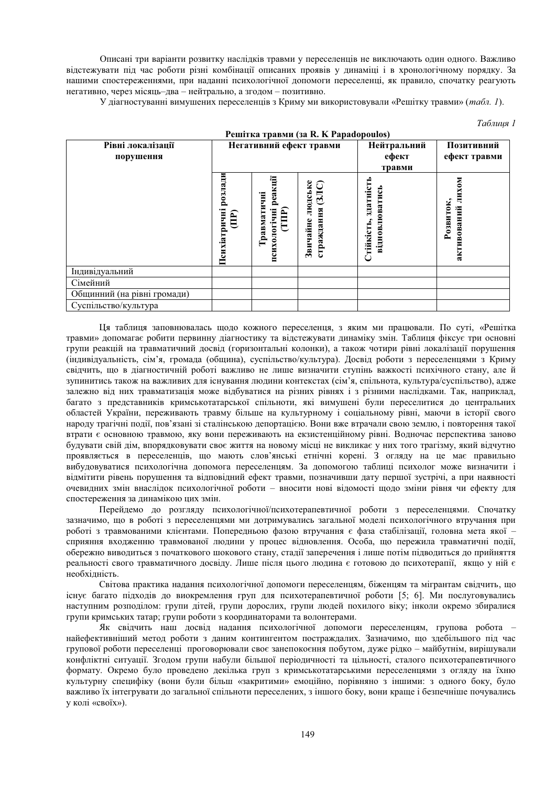Описані три варіанти розвитку наслідків травми у переселенців не виключають один одного. Важливо відстежувати під час роботи різні комбінації описаних проявів у динаміці і в хронологічному порядку. За нашими спостереженнями, при наданні психологічної допомоги переселенці, як правило, спочатку реагують негативно, через місяць-два - нейтрально, а згодом - позитивно.

У ліагностуванні вимушених переселенців з Криму ми використовували «Решітку травми» (*табл. 1*).

*Ɍɚɛɥɢɰɹ*

| Решітка травми (за R. K Papadopoulos) |                                            |                                                     |                                                 |                                          |                                   |
|---------------------------------------|--------------------------------------------|-----------------------------------------------------|-------------------------------------------------|------------------------------------------|-----------------------------------|
| Рівні локалізації                     | Негативний ефект травми                    |                                                     |                                                 | Нейтральний                              | Позитивний                        |
| порушення                             |                                            |                                                     |                                                 | ефект                                    | ефект травми                      |
|                                       |                                            |                                                     |                                                 | травми                                   |                                   |
|                                       | розлади<br>Психіатричні<br>$\widehat{\Xi}$ | реакції<br>равматичні<br>(TIP)<br>психологічні<br>⊨ | людське<br>(3JIC)<br>EH<br>страждан<br>Звичайне | здатність<br>відновлюватись<br>Стійкість | лихом<br>Розвиток,<br>активований |
| Індивідуальний                        |                                            |                                                     |                                                 |                                          |                                   |
| Сімейний                              |                                            |                                                     |                                                 |                                          |                                   |
| Общинний (на рівні громади)           |                                            |                                                     |                                                 |                                          |                                   |
| Суспільство/культура                  |                                            |                                                     |                                                 |                                          |                                   |

Ця таблиця заповнювалась шоло кожного переселения, з яким ми працювали. По суті, «Решітка травми» допомагає робити первинну діагностику та відстежувати динаміку змін. Таблиця фіксує три основні групи реакцій на травматичний досвід (горизонтальні колонки), а також чотири рівні локалізації порушення (індивідуальність, сім'я, громада (община), суспільство/культура). Досвід роботи з переселенцями з Криму свідчить, що в діагностичній роботі важливо не лише визначити ступінь важкості психічного стану, але й зупинитись також на важливих для існування людини контекстах (сім'я, спільнота, культура/суспільство), адже залежно від них травматизація може відбуватися на різних рівнях і з різними наслідками. Так, наприклад, багато з представників кримськотатарської спільноти, які вимушені були переселитися до центральних областей України, переживають травму більше на культурному і соціальному рівні, маючи в історії свого народу трагічні події, пов'язані зі сталінською депортацією. Вони вже втрачали свою землю, і повторення такої втрати є основною травмою, яку вони переживають на екзистенційному рівні. Водночас перспектива заново будувати свій дім, впорядковувати своє життя на новому місці не викликає у них того трагізму, який відчутно люзвляється в переселении, що мають слов'янські етнічні корені. З оглялу на не має правильно вибудовуватися психологічна допомога переселенцям. За допомогою таблиці психолог може визначити і відмітити рівень порушення та відповідний ефект травми, позначивши дату першої зустрічі, а при наявності очевидних змін внаслідок психологічної роботи - вносити нові відомості щодо зміни рівня чи ефекту для спостереження за динамікою цих змін.

Перейдемо до розгляду психологічної/психотерапевтичної роботи з переселенцями. Спочатку зазначимо, що в роботі з переселенцями ми дотримувались загальної моделі психологічного втручання при роботі з травмованими клієнтами. Попередньою фазою втручання є фаза стабілізації, головна мета якої – сприяння входженню травмованої людини у процес відновлення. Особа, що пережила травматичні події, обережно виводиться з початкового шокового стану, сталії заперечення і лише потім пілводиться до прийняття реальності свого травматичного досвіду. Лише після цього людина є готовою до психотерапії, якщо у ній є необхілність.

Світова практика надання психологічної допомоги переселенцям, біженцям та мігрантам свідчить, що існує багато підходів до виокремлення груп для психотерапевтичної роботи [5; 6]. Ми послуговувались наступним розподілом: групи дітей, групи дорослих, групи людей похилого віку; інколи окремо збиралися групи кримських татар; групи роботи з координаторами та волонтерами.

и свідчить наш досвід надання психологічної допомоги переселенцям, групова робота найефективніший метол роботи з ланим контингентом постражлалих. Зазначимо, що злебільшого піл час групової роботи переселениі проговорювали своє занепокоєння побутом, дуже рідко – майбутнім, вирішували конфліктні ситуації. Згодом групи набули більшої періодичності та цільності, сталого психотерапевтичного формату. Окремо було проведено декілька груп з кримськотатарськими переселенцями з огляду на їхню культурну специфіку (вони були більш «закритими» емоційно, порівняно з іншими: з одного боку, було важливо їх інтегрувати до загальної спільноти переселених, з іншого боку, вони краще і безпечніше почувались v колі «своїх»).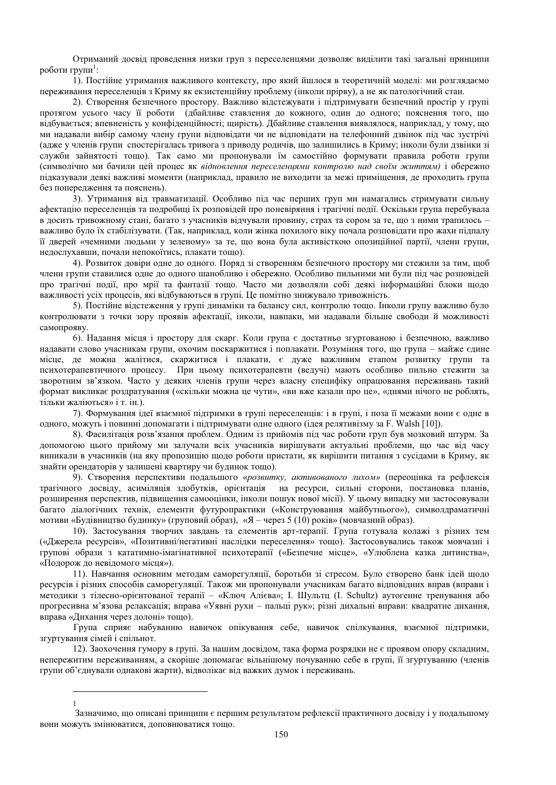Отриманий досвід проведення низки груп з переселенцями дозволяє виділити такі загальні принципи роботи групи $^{\rm l}$ :

1). Постійне утримання важливого контексту, про який йшлося в теоретичній моделі: ми розглядаємо переживання переселенців з Криму як екзистенційну проблему (інколи прірву), а не як патологічний стан.

2). Створення безпечного простору. Важливо вілстежувати і пілтримувати безпечний простір у групі протягом усього часу її роботи (дбайливе ставлення до кожного, один до одного; пояснення того, що відбувається; впевненість у конфіденційності; щирість). Дбайливе ставлення виявлялося, наприклад, у тому, що ми надавали вибір самому члену групи відповідати чи не відповідати на телефонний дзвінок під час зустрічі (адже у членів групи спостерігалась тривога з приводу родичів, що залишились в Криму; інколи були дзвінки зі служби зайнятості тощо). Так само ми пропонували їм самостійно формувати правила роботи групи (символічно ми бачили цей процес як відновлення переселенцями контролю над своїм життям) і обережно підказували деякі важливі моменти (наприклад, правило не виходити за межі приміщення, де проходить група без попередження та пояснень).

3). Утримання від травматизації. Особливо під час перших груп ми намагались стримувати сильну афектацію переселенців та подробиці їх розповідей про поневіряння і трагічні події. Оскільки група перебувала в досить тривожному стані, багато з учасників відчували провину, страх та сором за те, що з ними трапилось важливо було їх стабілізувати. (Так, наприклад, коли жінка похилого віку почала розповідати про жахи підпалу її дверей «чемними людьми у зеленому» за те, що вона була активісткою опозиційної партії, члени групи, недослухавши, почали непокоїтись, плакати тощо).

4). Розвиток довіри одне до одного. Поряд зі створенням безпечного простору ми стежили за тим, щоб члени групи ставилися одне до одного шанобливо і обережно. Особливо пильними ми були під час розповідей про трагічні події, про мрії та фантазії тощо. Часто ми дозволяли собі деякі інформаційні блоки щодо важливості усіх процесів, які відбуваються в групі. Це помітно знижувало тривожність.

5). Постійне відстеження у групі динаміки та балансу сил, контролю тощо. Інколи групу важливо було контролювати з точки зору проявів афектації, інколи, навпаки, ми надавали більше свободи й можливості самопрояву.

6). Надання місця і простору для скарг. Коли група є достатньо згуртованою і безпечною, важливо надавати слово учасникам групи, охочим поскаржитися і поплакати. Розуміння того, що група – майже єдине місце, де можна жалітися, скаржитися і плакати, є дуже важливим етапом розвитку групи та психотерапевтичного процесу. При цьому психотерапевти (ведучі) мають особливо пильно стежити за зворотним зв'язком. Часто у деяких членів групи через власну специфіку опрацювання переживань такий формат викликає роздратування («скільки можна це чути», «ви вже казали про це», «днями нічого не роблять, тільки жаліються» і т. ін.).

7). Формування ідеї взаємної підтримки в групі переселенців: і в групі, і поза її межами вони є одне в одного, можуть і повинні допомагати і підтримувати одне одного (ідея релятивізму за F. Walsh [10]).

8). Фасилітація розв'язання проблем. Одним із прийомів під час роботи груп був мозковий штурм. За допомогою цього прийому ми залучали всіх учасників вирішувати актуальні проблеми, що час від часу виникали в учасників (на яку пропозицію щодо роботи пристати, як вирішити питання з сусідами в Криму, як знайти орендаторів у залишені квартиру чи будинок тощо).

9). Створення перспективи подальшого «*розвитку, активованого лихом»* (переоцінка та рефлексія трагічного досвіду, асиміляція здобутків, орієнтація на ресурси, сильні сторони, постановка планів, розширення перспектив, підвищення самооцінки, інколи пошук нової місії). У цьому випадку ми застосовували багато діалогічних технік, елементи футуропрактики («Конструювання майбутнього»), символдраматичні мотиви «Будівництво будинку» (груповий образ), «Я - через 5 (10) років» (мовчазний образ).

10). Застосування творчих завдань та елементів арт-терапії. Група готувала колажі з різних тем («Джерела ресурсів», «Позитивні/негативні наслідки переселення» тощо). Застосовувались також мовчазні і групові образи з кататимно-імагінативної психотерапії («Безпечне місце», «Улюблена казка дитинства», «Подорож до невідомого місця»).

11). Навчання основним методам саморегуляції, боротьби зі стресом. Було створено банк ідей щодо ресурсів і різних способів саморегуляції. Також ми пропонували учасникам багато відповідних вправ (вправи і методики з тілесно-орієнтованої терапії - «Ключ Алієва»; І. Шультц (I. Schultz) аутогенне тренування або прогресивна м'язова релаксація; вправа «Уявні рухи - пальці рук»; різні дихальні вправи: квадратне дихання, вправа «Дихання через долоні» тощо).

Група сприяє набуванню навичок опікування себе, навичок спілкування, взаємної підтримки, згуртування сімей і спільнот.

12). Заохочення гумору в групі. За нашим досвідом, така форма розрядки не є проявом опору складним, непережитим переживанням, а скоріше допомагає вільнішому почуванню себе в групі, її згуртуванню (членів групи об'єлнували олнакові жарти), вілволікає віл важких лумок і переживань.

 $\overline{a}$ 1

Зазначимо, що описані принципи є першим результатом рефлексії практичного досвіду і у подальшому вони можуть змінюватися, доповнюватися тощо.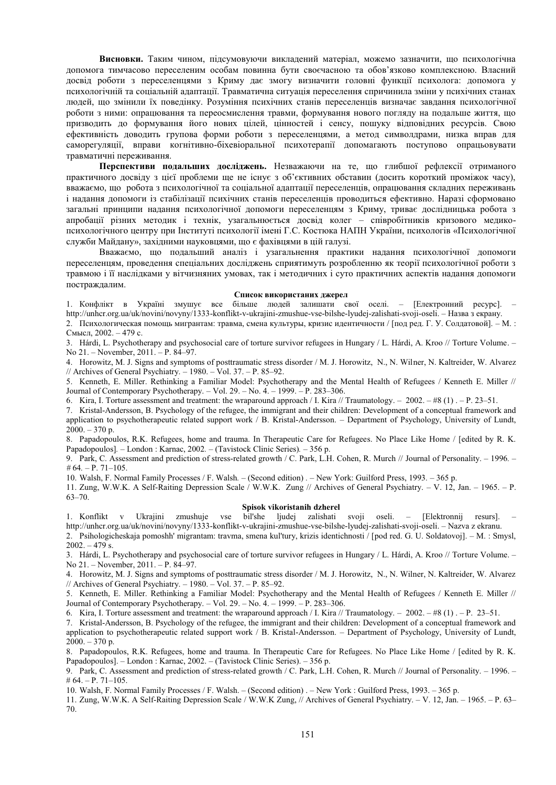**Висновки.** Таким чином, підсумовуючи викладений матеріал, можемо зазначити, що психологічна допомога тимчасово переселеним особам повинна бути своєчасною та обов'язково комплексною. Власний досвід роботи з переселенцями з Криму дає змогу визначити головні функції психолога: допомога у психологічній та соціальній адаптації. Травматична ситуація переселення спричинила зміни у психічних станах людей, що змінили їх повелінку. Розуміння психічних станів переселенців визначає завлання психологічної роботи з ними: опрацювання та переосмислення травми, формування нового погляду на подальше життя, що призводить до формування його нових цілей, цінностей і сенсу, пошуку відповідних ресурсів. Свою ефективність доводить групова форми роботи з переселенцями, а метод символдрами, низка вправ для саморегуляції, вправи когнітивно-біхевіоральної психотерапії допомагають поступово опрацьовувати травматичні переживання.

Перспективи подальших досліджень. Незважаючи на те, що глибшої рефлексії отриманого практичного досвіду з цієї проблеми ще не існує з об'єктивних обставин (досить короткий проміжок часу), вважаємо, що робота з психологічної та соціальної адаптації переселенців, опрацювання складних переживань і надання допомоги із стабілізації психічних станів переселенців проводиться ефективно. Наразі сформовано загальні принципи надання психологічної допомоги переселенцям з Криму, триває дослідницька робота з апробації різних методик і технік, узагальнюється досвід колег – співробітників кризового медикопсихологічного центру при Інституті психології імені Г.С. Костюка НАПН України, психологів «Психологічної служби Майдану», західними науковцями, що є фахівцями в цій галузі.

Вважаємо, що подальший аналіз і узагальнення практики надання психологічної допомоги переселенцям, проведення спеціальних досліджень сприятимуть розробленню як теорії психологічної роботи з травмою і її наслідками у вітчизняних умовах, так і методичних і суто практичних аспектів надання допомоги постраждалим.

## Список використаних джерел

1. Конфлікт в Україні змушує все більше людей залишати свої оселі. - [Електронний ресурс]. http://unhcr.org.ua/uk/novini/novyny/1333-konflikt-v-ukrajini-zmushue-vse-bilshe-lyudej-zalishati-svoji-oseli. - Ha3Ba 3 ekpahy.

2. Психологическая помощь мигрантам: травма, смена культуры, кризис идентичности / [под ред. Г. У. Солдатовой]. - М.: Смысл, 2002. - 479 с.

3. Hárdi, L. Psychotherapy and psychosocial care of torture survivor refugees in Hungary / L. Hárdi, A. Kroo // Torture Volume.  $-$ No  $21. -$  November,  $2011. - P. 84-97.$ 

4. Horowitz, M. J. Signs and symptoms of posttraumatic stress disorder / M. J. Horowitz, N., N. Wilner, N. Kaltreider, W. Alvarez // Archives of General Psychiatry.  $- 1980$ .  $-$  Vol. 37.  $-$  P. 85–92.

5. Kenneth, E. Miller. Rethinking a Familiar Model: Psychotherapy and the Mental Health of Refugees / Kenneth E. Miller // Journal of Contemporary Psychotherapy.  $-$  Vol. 29.  $-$  No. 4.  $-$  1999.  $-$  P. 283–306.

6. Kira, I. Torture assessment and treatment: the wraparound approach / I. Kira // Traumatology.  $-$  2002.  $-$ #8 (1) .  $-$  P. 23–51.

7. Kristal-Andersson, B. Psychology of the refugee, the immigrant and their children: Development of a conceptual framework and application to psychotherapeutic related support work / B. Kristal-Andersson. - Department of Psychology, University of Lundt,  $2000 - 370$  p.

8. Papadopoulos, R.K. Refugees, home and trauma. In Therapeutic Care for Refugees. No Place Like Home / [edited by R. K. Papadopoulos]*. ±* London : Karnac, 2002*. ±* (Tavistock Clinic Series)*.* ± 356 p.

9. Park, C. Assessment and prediction of stress-related growth / C. Park, L.H. Cohen, R. Murch // Journal of Personality.  $-1996$ .  $# 64. - P. 71-105.$ 

10. Walsh, F. Normal Family Processes / F. Walsh.  $-$  (Second edition) .  $-$  New York: Guilford Press, 1993.  $-$  365 p.

11. Zung, W.W.K. A Self-Raiting Depression Scale / W.W.K. Zung // Archives of General Psychiatry.  $-$  V. 12, Jan.  $-$  1965.  $-$  P.  $63 - 70.$ 

# **Spisok vikoristanih dzherel**

1. Konflikt v Ukrajini zmushuje vse bil'she ljudej zalishati svoji oseli. – [Elektronnij resurs]. http://unhcr.org.ua/uk/novini/novyny/1333-konflikt-v-ukrajini-zmushue-vse-bilshe-lyudej-zalishati-svoji-oseli. - Nazva z ekranu.

2. Psihologicheskaja pomoshh' migrantam: travma, smena kul'tury, krizis identichnosti / [pod red. G. U. Soldatovoj]. – M. : Smysl,  $2002. - 479$  s.

3. Hárdi, L. Psychotherapy and psychosocial care of torture survivor refugees in Hungary / L. Hárdi, A. Kroo // Torture Volume. -No  $21. -$  November,  $2011. - P. 84-97.$ 

4. Horowitz, M. J. Signs and symptoms of posttraumatic stress disorder / M. J. Horowitz, N., N. Wilner, N. Kaltreider, W. Alvarez // Archives of General Psychiatry.  $-1980$ .  $-\text{Vol}$ . 37.  $-\text{P}$ . 85–92.

5. Kenneth, E. Miller. Rethinking a Familiar Model: Psychotherapy and the Mental Health of Refugees / Kenneth E. Miller // Journal of Contemporary Psychotherapy.  $-$  Vol. 29.  $-$  No. 4.  $-$  1999.  $-$  P. 283–306.

6. Kira, I. Torture assessment and treatment: the wraparound approach / I. Kira // Traumatology.  $-$  2002.  $-$ #8 (1) .  $-$  P. 23–51.

7. Kristal-Andersson, B. Psychology of the refugee, the immigrant and their children: Development of a conceptual framework and application to psychotherapeutic related support work / B. Kristal-Andersson. - Department of Psychology, University of Lundt,  $2000 - 370$  p.

8. Papadopoulos, R.K. Refugees, home and trauma. In Therapeutic Care for Refugees. No Place Like Home / [edited by R. K. Papadopoulos]. - London : Karnac, 2002. - (Tavistock Clinic Series). - 356 p.

9. Park, C. Assessment and prediction of stress-related growth / C. Park, L.H. Cohen, R. Murch // Journal of Personality. -1996. - $# 64. - P. 71-105.$ 

10. Walsh, F. Normal Family Processes / F. Walsh.  $-$  (Second edition) .  $-$  New York : Guilford Press, 1993.  $-$  365 p.

11. Zung, W.W.K. A Self-Raiting Depression Scale / W.W.K Zung, // Archives of General Psychiatry.  $-$  V. 12, Jan.  $-$  1965.  $-$  P. 63 $-$ 70.